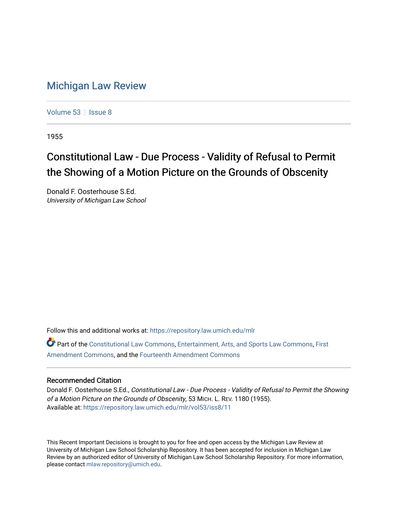## [Michigan Law Review](https://repository.law.umich.edu/mlr)

[Volume 53](https://repository.law.umich.edu/mlr/vol53) | [Issue 8](https://repository.law.umich.edu/mlr/vol53/iss8)

1955

## Constitutional Law - Due Process - Validity of Refusal to Permit the Showing of a Motion Picture on the Grounds of Obscenity

Donald F. Oosterhouse S.Ed. University of Michigan Law School

Follow this and additional works at: [https://repository.law.umich.edu/mlr](https://repository.law.umich.edu/mlr?utm_source=repository.law.umich.edu%2Fmlr%2Fvol53%2Fiss8%2F11&utm_medium=PDF&utm_campaign=PDFCoverPages) 

Part of the [Constitutional Law Commons,](http://network.bepress.com/hgg/discipline/589?utm_source=repository.law.umich.edu%2Fmlr%2Fvol53%2Fiss8%2F11&utm_medium=PDF&utm_campaign=PDFCoverPages) [Entertainment, Arts, and Sports Law Commons](http://network.bepress.com/hgg/discipline/893?utm_source=repository.law.umich.edu%2Fmlr%2Fvol53%2Fiss8%2F11&utm_medium=PDF&utm_campaign=PDFCoverPages), [First](http://network.bepress.com/hgg/discipline/1115?utm_source=repository.law.umich.edu%2Fmlr%2Fvol53%2Fiss8%2F11&utm_medium=PDF&utm_campaign=PDFCoverPages)  [Amendment Commons](http://network.bepress.com/hgg/discipline/1115?utm_source=repository.law.umich.edu%2Fmlr%2Fvol53%2Fiss8%2F11&utm_medium=PDF&utm_campaign=PDFCoverPages), and the [Fourteenth Amendment Commons](http://network.bepress.com/hgg/discipline/1116?utm_source=repository.law.umich.edu%2Fmlr%2Fvol53%2Fiss8%2F11&utm_medium=PDF&utm_campaign=PDFCoverPages)

## Recommended Citation

Donald F. Oosterhouse S.Ed., Constitutional Law - Due Process - Validity of Refusal to Permit the Showing of a Motion Picture on the Grounds of Obscenity, 53 MICH. L. REV. 1180 (1955). Available at: [https://repository.law.umich.edu/mlr/vol53/iss8/11](https://repository.law.umich.edu/mlr/vol53/iss8/11?utm_source=repository.law.umich.edu%2Fmlr%2Fvol53%2Fiss8%2F11&utm_medium=PDF&utm_campaign=PDFCoverPages) 

This Recent Important Decisions is brought to you for free and open access by the Michigan Law Review at University of Michigan Law School Scholarship Repository. It has been accepted for inclusion in Michigan Law Review by an authorized editor of University of Michigan Law School Scholarship Repository. For more information, please contact [mlaw.repository@umich.edu.](mailto:mlaw.repository@umich.edu)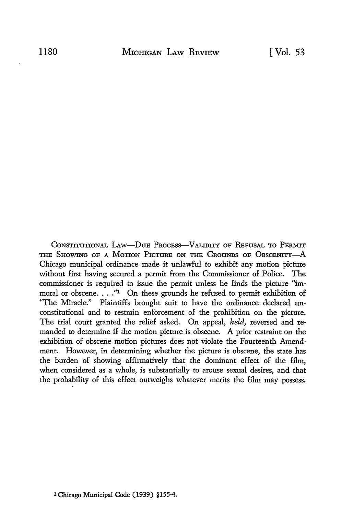CONSTITUTIONAL LAW-DUE PROCESS-VALIDITY OF REFUSAL TO PERMIT THE SHOWING OF A MOTION PICTURE ON THE GROUNDS OF OBSCENITY-A Chicago municipal ordinance made it unlawful to exhibit any motion picture without first having secured a permit from the Commissioner of Police. The commissioner is required to issue the permit unless he finds the picture "immoral or obscene.  $\ldots$  "1 On these grounds he refused to permit exhibition of "The Miracle." Plaintiffs brought suit to have the ordinance declared unconstitutional and to restrain enforcement of the prohibition on the picture. The trial court granted the relief asked. On appeal, *held,* reversed and remanded to determine if the motion picture is obscene. A prior restraint on the exhibition of obscene motion pictures does not violate the Fourteenth Amendment. However, in determining whether the picture is obscene, the state has the burden of showing affirmatively that the dominant effect of the film, when considered as a whole, is substantially to arouse sexual desires, and that the probability of this effect outweighs whatever merits the film may possess.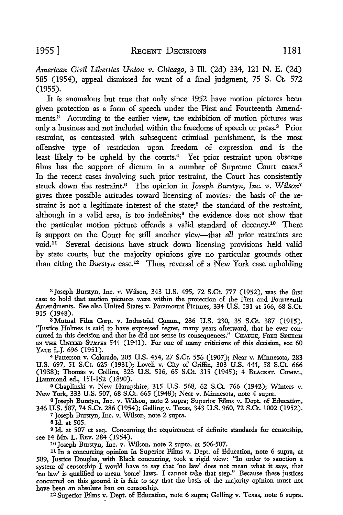*American Civil Liberties Union v. Chicago,* 3 Ill. (2d) 334, 121 N. E. (2d) 585 (1954), appeal dismissed for want of a final judgment, 75 S. Ct 572 (1955).

It is anomalous but true that only since 1952 have motion pictures been given protection as a form of speech under the First and Fourteenth Amendments.<sup>2</sup> According to the earlier view, the exhibition of motion pictures was only a business and not included within the freedoms of speech or press.<sup>3</sup> Prior restraint, as contrasted with subsequent criminal punishment, is the most offensive type of restriction upon freedom of expression and is the least likely to be upheld by the courts.<sup>4</sup> Yet prior restraint upon obscene films has the support of dictum in a number of Supreme Court cases.<sup>5</sup> In the recent cases involving such prior restraint, the Court has consistently struck down the restraint.<sup>6</sup> The opinion in *Joseph Burstyn*, *Inc. v. Wilson<sup>7</sup>* gives three possible attitudes toward licensing of movies: the basis of the restraint is not a legitimate interest of the state;8 the standard of the restraint, although in a valid area, is too indefinite;<sup>9</sup> the evidence does not show that the particular motion picture offends a valid standard of decency.10 There is support on the Court for still another view-that *all* prior restraints are void.11 Several decisions have struck down licensing provisions held valid by state courts, but the majority opinions give no particular grounds other than citing the *Burstyn* case.<sup>12</sup> Thus, reversal of a New York case upholding

<sup>2</sup>Joseph Burstyn, Inc. v. Wilson, 343 U.S. 495, 72 S.Ct. 777 (1952), was the first case to hold that motion pictures were within the protection of the First and Fourteenth Amendments. See also United States v. Paramount Pictures, 334 U.S. 131 at 166, 68 S.Ct. 915 (1948).

3 Mutual Film Corp. v. Industrial C\_omm., 236 U.S. 230, 35 S.Ct. 387 (1915). "Justice Holmes is said to have expressed regret, many years afterward, that he ever concurred in this decision and that he did not sense its consequences." CHAFEE, FREE SPEECH IN THE UNITED STATES 544 (1941). For one of many criticisms of this decision, see 60 YALE L.J. 696 (1951).

<sup>4</sup>Patterson v. Colorado, 205 U.S. 454, 27 S.Ct. 556 (1907); Near v. Minnesota, 283 U.S. 697, 51 S.Ct. 625 (1931); Lovell v. City of Griffin, 303 U.S. 444, 58 S.Ct. 666 (1938); Thomas v. Collins, 323 U.S. 516, 65 S.Ct. 315 (1945); 4 BLACKST. CoMM., Hammond ed., 151-152 (1890).

<sup>5</sup>Chaplinski v. New Hampshire, 315 U.S. 568, 62 S.Ct. 766 (1942); Winters v. New York, 333 U.S. 507, 68 S.Ct. 665 (1948); Near v. Minnesota, note 4 supra.

<sup>6</sup>Joseph Burstyn, Inc. v. Wilson, note 2 supra; Superior Films v. Dept. of Education, 346 U.S. 587, 74 S.Ct. 286 (1954); Gelling v. Texas, 343 U.S. 960, 72 S.Ct. 1002 (1952).

7 Joseph Burstyn, Inc. v. Wilson, note 2 supra.

Bid. at 505.

<sup>9</sup>Id. at 507 et seq. Concerning the requirement of definite standards for censorship, see 14 MD. L. REv. 284 (1954).

10 Joseph Burstyn, Inc. v. Wilson, note 2 supra, at 506-507.

11 In a concurring opinion in Superior Films v. Dept. of Education, note 6 supra, at 589, Justice Douglas, with Black concurring, took a rigid view: ''In order to sanction a system of censorship I would have to say that 'no law' does not mean what it says, that 'no law' is qualified to mean 'some' laws. I cannot take that step." Because these justices concurred on this ground it is fair to say that the basis of the majority opinion must not have been an absolute ban on censorship.

12 Superior Films v. Dept. of Education, note 6 supra; Gelling v. Texas, note 6 supra.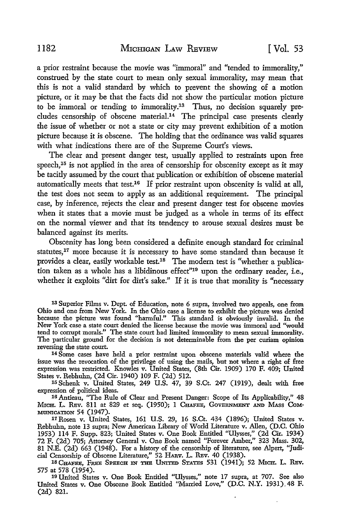a prior restraint because the movie was "immoral" and "tended to immorality," construed by the state court to mean only sexual immorality, may mean that this is not a valid standard by which to prevent the showing of a motion picture, or it may be that the facts did not show the particular motion picture to be immoral or tending to immorality.13 Thus, no decision squarely precludes censorship of obscene material.14 The principal case presents clearly the issue of whether or not a state or city may prevent exhibition of a motion picture because it is obscene. The holding that the ordinance was valid squares with what indications there are of the Supreme Court's views.

The clear and present danger test, usually applied to restraints upon free speech, $15$  is not applied in the area of censorship for obscenity except as it may be tacitly assumed by the court that publication or exhibition of obscene material automatically meets that test.<sup>16</sup> If prior restraint upon obscenity is valid at all, the test does not seem to apply as an additional requirement. The principal case, by inference, rejects the clear and present danger test for obscene movies when it states that a movie must be judged as a whole in terms of its effect on the normal viewer and that its tendency to arouse sexual desires must be balanced against its merits.

Obscenity has long been considered a definite enough standard for criminal statutes,<sup>17</sup> more because it is necessary to have some standard than because it provides a clear, easily workable test.<sup>18</sup> The modern test is "whether a publication taken as a whole has a libidinous effect"19 upon the ordinary reader, i.e., whether it exploits "dirt for dirt's sake." If it is true that morality is "necessary

13 Superior Films v. Dept. of Education, note 6 supra, involved two appeals, one from Ohio and one from New York. In the Ohio case a license to exhibit the picture was denied because the picture was found "harmful." This standard is obviously invalid. In the New York case a state court denied the license because the movie was immoral and "would tend to corrupt morals." The state court had limited immorality to mean sexual inunorality. The particular ground for the decision is not determinable from the per curiam opinion reversing the state court.

14 Some cases have held a prior restraint upon obscene materials valid where the issue was the revocation of the privilege of using the mails, but not where a right of free expression was restricted. Knowles v. United States, (8th Cir. 1909) 170 F. 409; United States v. Rebhuhn, (2d Cir. 1940) 109 F. (2d) 512.

15 Schenk v. United States, 249 U.S. 47, 39 S.Ct. 247 (1919), dealt with free expression of political ideas.

16 Antieau, "The Rule of Clear and Present Danger: Scope of Its Applicability," 48 MICH. L. REV. 811 at 829 et seq. (1950); 1 CHAFEE, GOVERNMENT AND MASS COM-MUNICATION 54 (1947).

11 Rosen v. United States, 161 U.S. 29, 16 S.Ct. 434 (1896); United States v. Rebhuhn, note 13 supra; New American Library of World Literature v. Allen, (D.C. Ohio 1953) 114 F. Supp. 823; United States v. One Book Entitled "Ulysses," (2d Cir. 1934) 72 F. (2d) 705; Attorney General v. One Book named "Forever Amber," 323 Mass. 302, 81 N.E. (2d) 663 (1948). For a history of the censorship of literature, see Alpert, "Judicial Censorship of Obscene Literature," 52 HARV. L. REV. 40 (1938).

<sup>18</sup> CHAFEE, FREE SPEECH IN THE UNITED STATES 531 (1941); 52 MICH. L. REV. 575 at 578 (1954).

575 at 578 (1954). 19 United States v. One Book Entitled "Ulysses," note 17 supra, at 707. See also United States v. One Obscene Book Entitled "Married Love," (D.C. N.Y. 1931).48 F. (2d) 821.